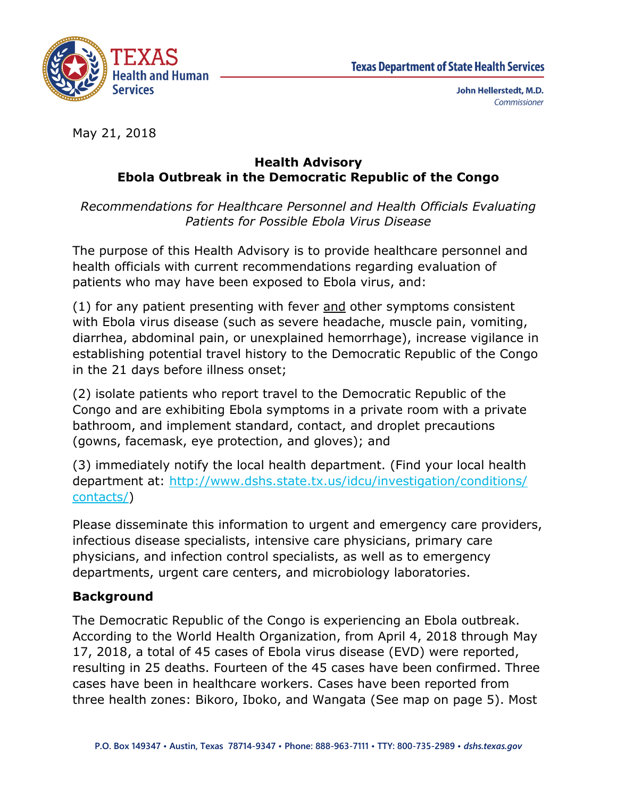

May 21, 2018

### **Health Advisory Ebola Outbreak in the Democratic Republic of the Congo**

*Recommendations for Healthcare Personnel and Health Officials Evaluating Patients for Possible Ebola Virus Disease*

The purpose of this Health Advisory is to provide healthcare personnel and health officials with current recommendations regarding evaluation of patients who may have been exposed to Ebola virus, and:

(1) for any patient presenting with fever and other symptoms consistent with Ebola virus disease (such as severe headache, muscle pain, vomiting, diarrhea, abdominal pain, or unexplained hemorrhage), increase vigilance in establishing potential travel history to the Democratic Republic of the Congo in the 21 days before illness onset;

(2) isolate patients who report travel to the Democratic Republic of the Congo and are exhibiting Ebola symptoms in a private room with a private bathroom, and implement standard, contact, and droplet precautions (gowns, facemask, eye protection, and gloves); and

(3) immediately notify the local health department. (Find your local health department at: [http://www.dshs.state.tx.us/idcu/investigation/conditions/](http://www.dshs.texas.gov/idcu/investigation/conditions/contacts/) [contacts/\)](http://www.dshs.texas.gov/idcu/investigation/conditions/contacts/)

Please disseminate this information to urgent and emergency care providers, infectious disease specialists, intensive care physicians, primary care physicians, and infection control specialists, as well as to emergency departments, urgent care centers, and microbiology laboratories.

# **Background**

The Democratic Republic of the Congo is experiencing an Ebola outbreak. According to the World Health Organization, from April 4, 2018 through May 17, 2018, a total of 45 cases of Ebola virus disease (EVD) were reported, resulting in 25 deaths. Fourteen of the 45 cases have been confirmed. Three cases have been in healthcare workers. Cases have been reported from three health zones: Bikoro, Iboko, and Wangata (See map on page 5). Most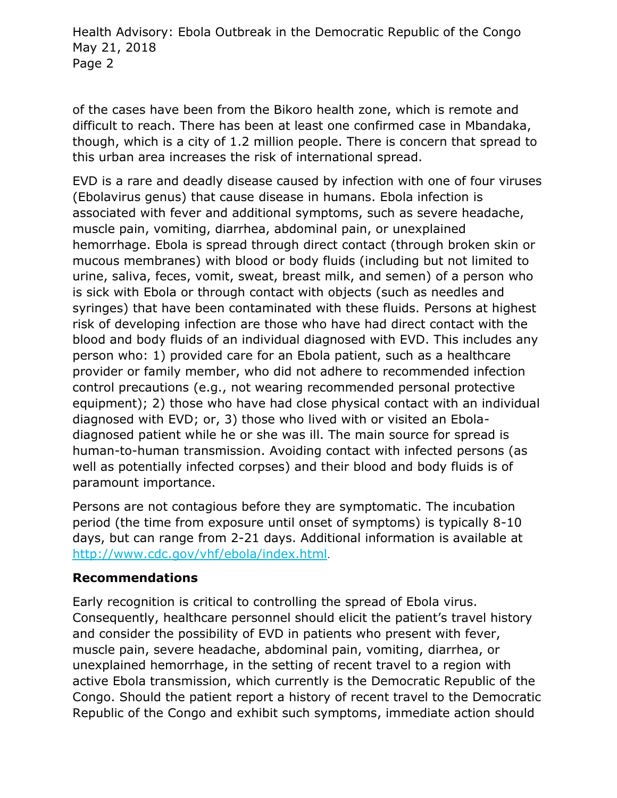of the cases have been from the Bikoro health zone, which is remote and difficult to reach. There has been at least one confirmed case in Mbandaka, though, which is a city of 1.2 million people. There is concern that spread to this urban area increases the risk of international spread.

EVD is a rare and deadly disease caused by infection with one of four viruses (Ebolavirus genus) that cause disease in humans. Ebola infection is associated with fever and additional symptoms, such as severe headache, muscle pain, vomiting, diarrhea, abdominal pain, or unexplained hemorrhage. Ebola is spread through direct contact (through broken skin or mucous membranes) with blood or body fluids (including but not limited to urine, saliva, feces, vomit, sweat, breast milk, and semen) of a person who is sick with Ebola or through contact with objects (such as needles and syringes) that have been contaminated with these fluids. Persons at highest risk of developing infection are those who have had direct contact with the blood and body fluids of an individual diagnosed with EVD. This includes any person who: 1) provided care for an Ebola patient, such as a healthcare provider or family member, who did not adhere to recommended infection control precautions (e.g., not wearing recommended personal protective equipment); 2) those who have had close physical contact with an individual diagnosed with EVD; or, 3) those who lived with or visited an Eboladiagnosed patient while he or she was ill. The main source for spread is human-to-human transmission. Avoiding contact with infected persons (as well as potentially infected corpses) and their blood and body fluids is of paramount importance.

Persons are not contagious before they are symptomatic. The incubation period (the time from exposure until onset of symptoms) is typically 8-10 days, but can range from 2-21 days. Additional information is available at <http://www.cdc.gov/vhf/ebola/index.html>.

#### **Recommendations**

Early recognition is critical to controlling the spread of Ebola virus. Consequently, healthcare personnel should elicit the patient's travel history and consider the possibility of EVD in patients who present with fever, muscle pain, severe headache, abdominal pain, vomiting, diarrhea, or unexplained hemorrhage, in the setting of recent travel to a region with active Ebola transmission, which currently is the Democratic Republic of the Congo. Should the patient report a history of recent travel to the Democratic Republic of the Congo and exhibit such symptoms, immediate action should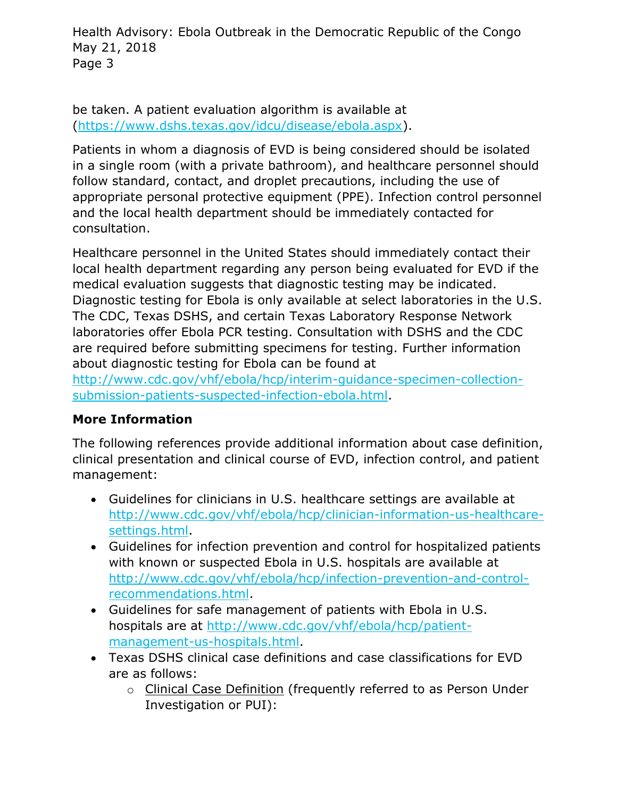be taken. A patient evaluation algorithm is available at [\(https://www.dshs.texas.gov/idcu/disease/ebola.aspx\)](https://www.dshs.texas.gov/idcu/disease/ebola.aspx).

Patients in whom a diagnosis of EVD is being considered should be isolated in a single room (with a private bathroom), and healthcare personnel should follow standard, contact, and droplet precautions, including the use of appropriate personal protective equipment (PPE). Infection control personnel and the local health department should be immediately contacted for consultation.

Healthcare personnel in the United States should immediately contact their local health department regarding any person being evaluated for EVD if the medical evaluation suggests that diagnostic testing may be indicated. Diagnostic testing for Ebola is only available at select laboratories in the U.S. The CDC, Texas DSHS, and certain Texas Laboratory Response Network laboratories offer Ebola PCR testing. Consultation with DSHS and the CDC are required before submitting specimens for testing. Further information about diagnostic testing for Ebola can be found at

[http://www.cdc.gov/vhf/ebola/hcp/interim-guidance-specimen-collection](http://www.cdc.gov/vhf/ebola/hcp/interim-guidance-specimen-collection-submission-patients-suspected-infection-ebola.html)[submission-patients-suspected-infection-ebola.html.](http://www.cdc.gov/vhf/ebola/hcp/interim-guidance-specimen-collection-submission-patients-suspected-infection-ebola.html)

# **More Information**

The following references provide additional information about case definition, clinical presentation and clinical course of EVD, infection control, and patient management:

- Guidelines for clinicians in U.S. healthcare settings are available at [http://www.cdc.gov/vhf/ebola/hcp/clinician-information-us-healthcare](http://www.cdc.gov/vhf/ebola/hcp/clinician-information-us-healthcare-settings.html)[settings.html.](http://www.cdc.gov/vhf/ebola/hcp/clinician-information-us-healthcare-settings.html)
- Guidelines for infection prevention and control for hospitalized patients with known or suspected Ebola in U.S. hospitals are available at [http://www.cdc.gov/vhf/ebola/hcp/infection-prevention-and-control](http://www.cdc.gov/vhf/ebola/hcp/infection-prevention-and-control-recommendations.html)[recommendations.html.](http://www.cdc.gov/vhf/ebola/hcp/infection-prevention-and-control-recommendations.html)
- Guidelines for safe management of patients with Ebola in U.S. hospitals are at [http://www.cdc.gov/vhf/ebola/hcp/patient](http://www.cdc.gov/vhf/ebola/hcp/patient-management-us-hospitals.html)[management-us-hospitals.html.](http://www.cdc.gov/vhf/ebola/hcp/patient-management-us-hospitals.html)
- Texas DSHS clinical case definitions and case classifications for EVD are as follows:
	- o Clinical Case Definition (frequently referred to as Person Under Investigation or PUI):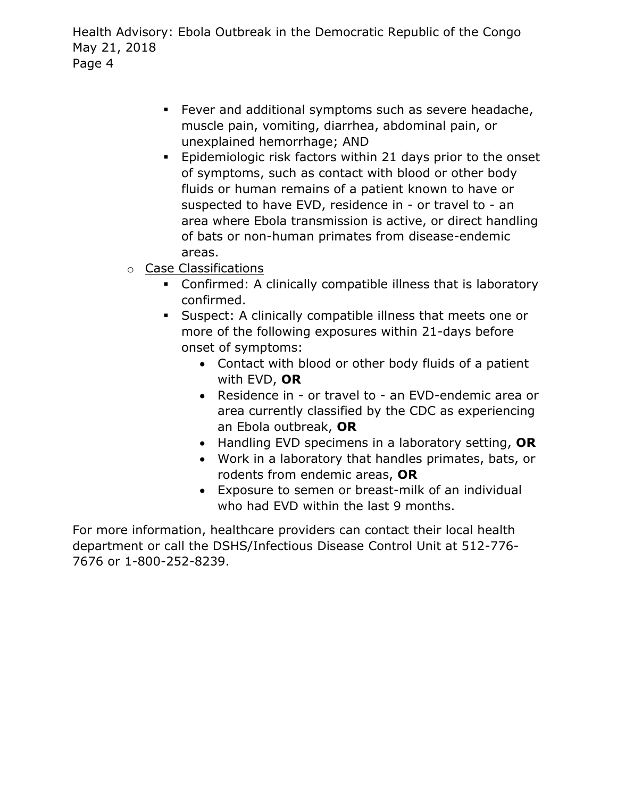- Fever and additional symptoms such as severe headache, muscle pain, vomiting, diarrhea, abdominal pain, or unexplained hemorrhage; AND
- Epidemiologic risk factors within 21 days prior to the onset of symptoms, such as contact with blood or other body fluids or human remains of a patient known to have or suspected to have EVD, residence in - or travel to - an area where Ebola transmission is active, or direct handling of bats or non-human primates from disease-endemic areas.
- o Case Classifications
	- Confirmed: A clinically compatible illness that is laboratory confirmed.
	- Suspect: A clinically compatible illness that meets one or more of the following exposures within 21-days before onset of symptoms:
		- Contact with blood or other body fluids of a patient with EVD, **OR**
		- Residence in or travel to an EVD-endemic area or area currently classified by the CDC as experiencing an Ebola outbreak, **OR**
		- Handling EVD specimens in a laboratory setting, **OR**
		- Work in a laboratory that handles primates, bats, or rodents from endemic areas, **OR**
		- Exposure to semen or breast-milk of an individual who had EVD within the last 9 months.

For more information, healthcare providers can contact their local health department or call the DSHS/Infectious Disease Control Unit at 512-776- 7676 or 1-800-252-8239.